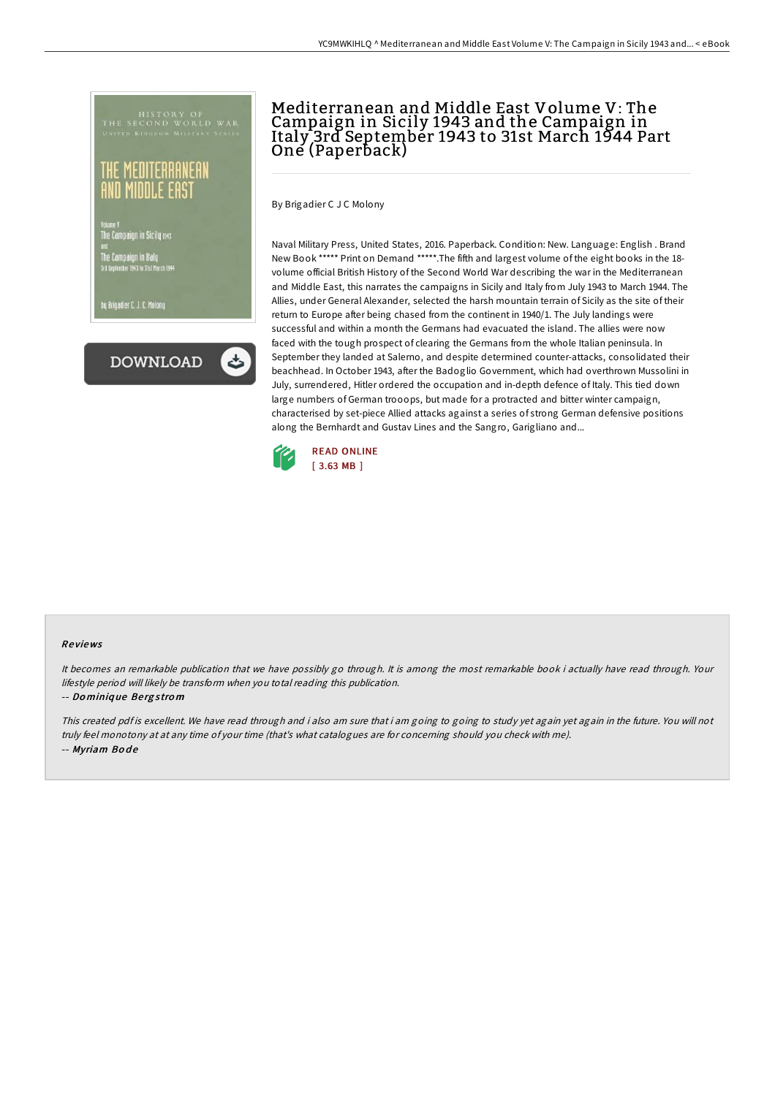he Campaign in Sicily 1941

.<br>Dy Brigadier C. J. C<mark>. Molo</mark>ni



## Mediterranean and Middle East Volume V: The Campaign in Sicily 1943 and the Campaign in Italy 3rd September 1943 to 31st March 1944 Part One (Paperback)

By Brigadier C J C Molony

Naval Military Press, United States, 2016. Paperback. Condition: New. Language: English . Brand New Book \*\*\*\*\* Print on Demand \*\*\*\*\*.The fifth and largest volume of the eight books in the 18 volume official British History of the Second World War describing the war in the Mediterranean and Middle East, this narrates the campaigns in Sicily and Italy from July 1943 to March 1944. The Allies, under General Alexander, selected the harsh mountain terrain of Sicily as the site of their return to Europe after being chased from the continent in 1940/1. The July landings were successful and within a month the Germans had evacuated the island. The allies were now faced with the tough prospect of clearing the Germans from the whole Italian peninsula. In September they landed at Salerno, and despite determined counter-attacks, consolidated their beachhead. In October 1943, after the Badoglio Government, which had overthrown Mussolini in July, surrendered, Hitler ordered the occupation and in-depth defence of Italy. This tied down large numbers of German trooops, but made for a protracted and bitter winter campaign, characterised by set-piece Allied attacks against a series of strong German defensive positions along the Bernhardt and Gustav Lines and the Sangro, Garigliano and...



## Re views

It becomes an remarkable publication that we have possibly go through. It is among the most remarkable book i actually have read through. Your lifestyle period will likely be transform when you total reading this publication.

-- Do miniq ue Be rg <sup>s</sup> tro <sup>m</sup>

This created pdf is excellent. We have read through and i also am sure that i am going to going to study yet again yet again in the future. You will not truly feel monotony at at any time of your time (that's what catalogues are for concerning should you check with me). -- Myriam Bode